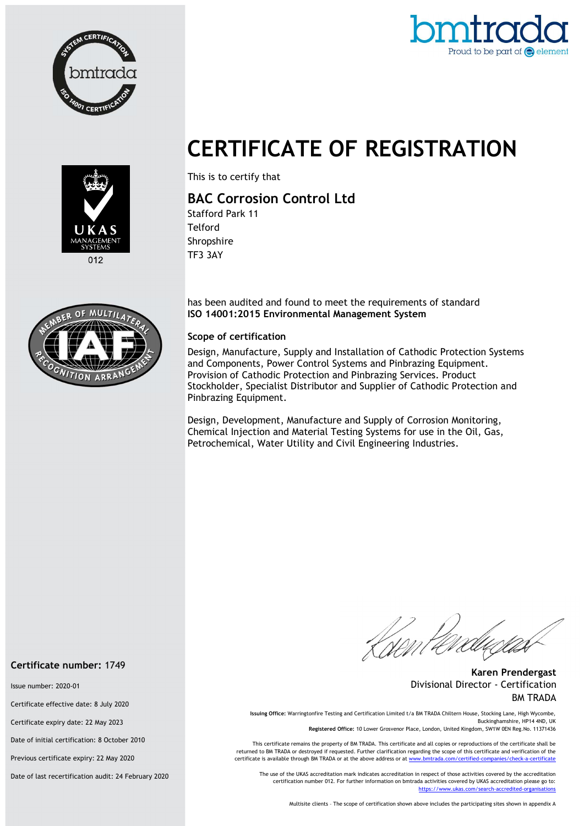



# CERTIFICATE OF REGISTRATION



This is to certify that

## BAC Corrosion Control Ltd

Stafford Park 11 **Telford** Shropshire TF3 3AY

has been audited and found to meet the requirements of standard ISO 14001:2015 Environmental Management System

#### Scope of certification

Design, Manufacture, Supply and Installation of Cathodic Protection Systems and Components, Power Control Systems and Pinbrazing Equipment. Provision of Cathodic Protection and Pinbrazing Services. Product Stockholder, Specialist Distributor and Supplier of Cathodic Protection and Pinbrazing Equipment.

Design, Development, Manufacture and Supply of Corrosion Monitoring, Chemical Injection and Material Testing Systems for use in the Oil, Gas, Petrochemical, Water Utility and Civil Engineering Industries.

Knen te.

Karen Prendergast Divisional Director - Certification BM TRADA

Issuing Office: Warringtonfire Testing and Certification Limited t/a BM TRADA Chiltern House, Stocking Lane, High Wycombe, Buckinghamshire, HP14 4ND, UK

Registered Office: 10 Lower Grosvenor Place, London, United Kingdom, SW1W 0EN Reg.No. 11371436

This certificate remains the property of BM TRADA. This certificate and all copies or reproductions of the certificate shall be returned to BM TRADA or destroyed if requested. Further clarification regarding the scope of this certificate and verification of the certificate is available through BM TRADA or at the above address or at www.bmtrada.com/certified-companies/check-a-certificate

The use of the UKAS accreditation mark indicates accreditation in respect of those activities covered by the accreditation certification number 012. For further information on bmtrada activities covered by UKAS accreditation please go to: https://www.ukas.com/search-accredited-organisations

Multisite clients – The scope of certification shown above includes the participating sites shown in appendix A



#### Certificate number: 1749

Issue number: 2020-01

Certificate effective date: 8 July 2020

Certificate expiry date: 22 May 2023

Date of initial certification: 8 October 2010

Previous certificate expiry: 22 May 2020

Date of last recertification audit: 24 February 2020